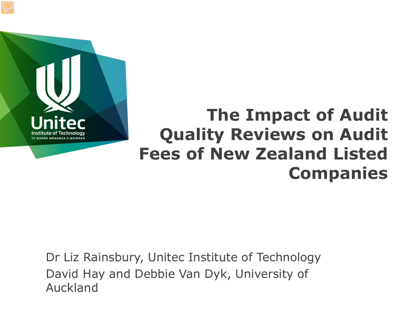

### **The Impact of Audit Quality Reviews on Audit Fees of New Zealand Listed Companies**

Dr Liz Rainsbury, Unitec Institute of Technology David Hay and Debbie Van Dyk, University of Auckland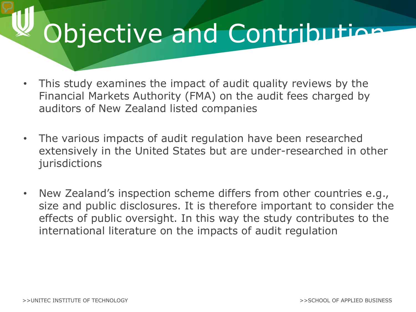## Objective and Contribution

- This study examines the impact of audit quality reviews by the Financial Markets Authority (FMA) on the audit fees charged by auditors of New Zealand listed companies
- The various impacts of audit regulation have been researched extensively in the United States but are under-researched in other jurisdictions
- New Zealand's inspection scheme differs from other countries e.g., size and public disclosures. It is therefore important to consider the effects of public oversight. In this way the study contributes to the international literature on the impacts of audit regulation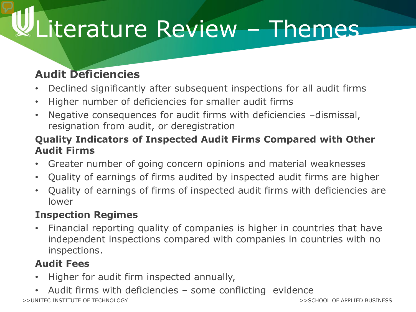# Literature Review - Themes

### **Audit Deficiencies**

- Declined significantly after subsequent inspections for all audit firms
- Higher number of deficiencies for smaller audit firms
- Negative consequences for audit firms with deficiencies –dismissal, resignation from audit, or deregistration

#### **Quality Indicators of Inspected Audit Firms Compared with Other Audit Firms**

- Greater number of going concern opinions and material weaknesses
- Quality of earnings of firms audited by inspected audit firms are higher
- Quality of earnings of firms of inspected audit firms with deficiencies are lower

#### **Inspection Regimes**

• Financial reporting quality of companies is higher in countries that have independent inspections compared with companies in countries with no inspections.

#### **Audit Fees**

- Higher for audit firm inspected annually,
- >>UNITEC INSTITUTE OF TECHNOLOGY Audit firms with deficiencies - some conflicting evidence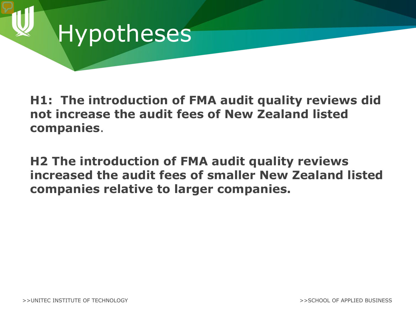### Hypotheses

**H1: The introduction of FMA audit quality reviews did not increase the audit fees of New Zealand listed companies**.

**H2 The introduction of FMA audit quality reviews increased the audit fees of smaller New Zealand listed companies relative to larger companies.**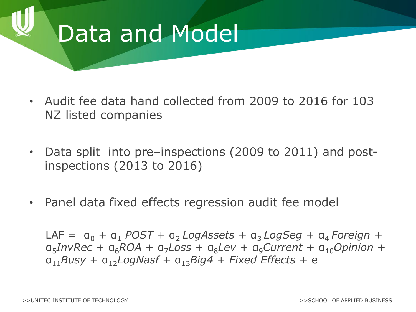### Data and Model

- Audit fee data hand collected from 2009 to 2016 for 103 NZ listed companies
- Data split into pre–inspections (2009 to 2011) and postinspections (2013 to 2016)
- Panel data fixed effects regression audit fee model

 $LAF = a_0 + a_1$  *POST* +  $a_2$  *LogAssets* +  $a_3$  *LogSeg* +  $a_4$  *Foreign* + α5*InvRec* + α6*ROA* + α7*Loss* + α8*Lev* + α9*Current* + α10*Opinion* + α11*Busy* + α12*LogNasf* + α13*Big4* + *Fixed Effects* + e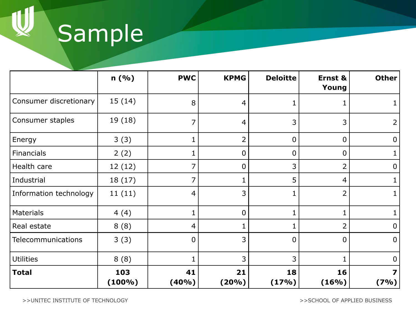Sample

|                           | n(%)             | <b>PWC</b>  | <b>KPMG</b>      | <b>Deloitte</b> | Ernst &<br>Young | <b>Other</b>   |
|---------------------------|------------------|-------------|------------------|-----------------|------------------|----------------|
| Consumer discretionary    | 15(14)           | 8           | 4                | 1               | ı                |                |
| Consumer staples          | 19 (18)          | 7           | $\overline{4}$   | 3               | 3                | 2              |
| Energy                    | 3(3)             |             | $\overline{2}$   | $\overline{0}$  | $\mathbf 0$      | $\mathbf 0$    |
| Financials                | 2(2)             |             | $\overline{0}$   | $\mathbf 0$     | $\overline{0}$   | 1              |
| Health care               | 12(12)           | 7           | $\boldsymbol{0}$ | 3               | $\overline{2}$   | 0              |
| Industrial                | 18(17)           | 7           |                  | 5               | 4                |                |
| Information technology    | 11(11)           | 4           | 3                | 1               | 2                | 1              |
| <b>Materials</b>          | 4(4)             | 1           | $\overline{0}$   | 1               | 1                |                |
| Real estate               | 8(8)             | 4           |                  | 1               | $\overline{2}$   | $\overline{0}$ |
| <b>Telecommunications</b> | 3(3)             | 0           | 3                | $\overline{0}$  | $\overline{0}$   | $\mathbf 0$    |
| <b>Utilities</b>          | 8(8)             |             | 3                | 3               |                  | 0              |
| <b>Total</b>              | 103<br>$(100\%)$ | 41<br>(40%) | 21<br>$(20\%)$   | 18<br>(17%)     | 16<br>(16%)      | 7<br>(7%)      |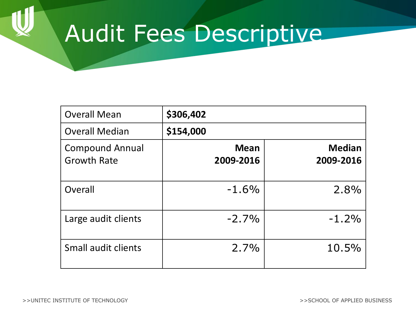### Audit Fees Descriptive

| <b>Overall Mean</b>                          | \$306,402                |                            |
|----------------------------------------------|--------------------------|----------------------------|
| <b>Overall Median</b>                        | \$154,000                |                            |
| <b>Compound Annual</b><br><b>Growth Rate</b> | <b>Mean</b><br>2009-2016 | <b>Median</b><br>2009-2016 |
| Overall                                      | $-1.6%$                  | 2.8%                       |
| Large audit clients                          | $-2.7\%$                 | $-1.2%$                    |
| Small audit clients                          | 2.7%                     | 10.5%                      |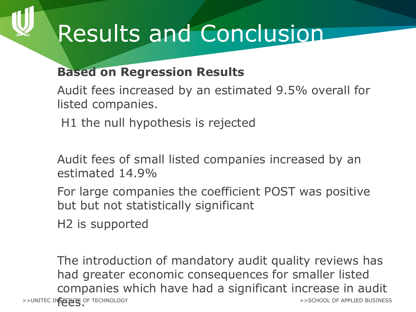## Results and Conclusion

### **Based on Regression Results**

Audit fees increased by an estimated 9.5% overall for listed companies.

H1 the null hypothesis is rejected

Audit fees of small listed companies increased by an estimated 14.9%

For large companies the coefficient POST was positive but but not statistically significant

H2 is supported

>>UNITEC IN**STITUTE** OF TECHNOLOGY The introduction of mandatory audit quality reviews has had greater economic consequences for smaller listed companies which have had a significant increase in audit >>SCHOOL OF APPLIED BUSINESS